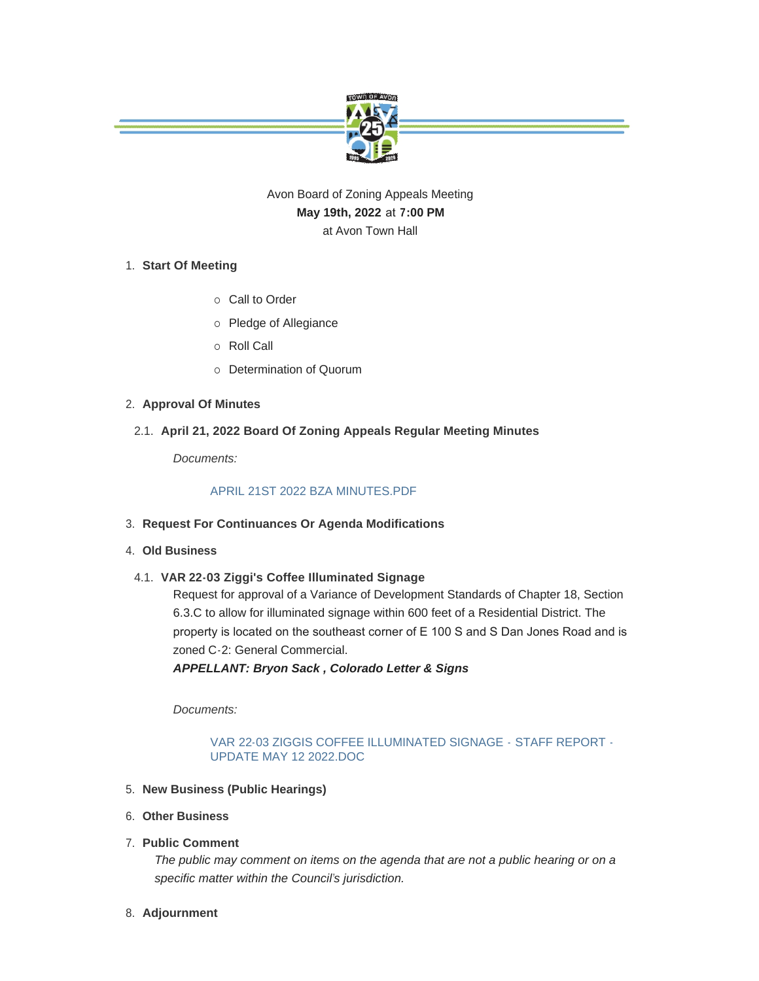

## Avon Board of Zoning Appeals Meeting **May 19th, 2022** at **7:00 PM** at Avon Town Hall

## **Start Of Meeting** 1.

- o Call to Order
- o Pledge of Allegiance
- o Roll Call
- o Determination of Quorum

## **Approval Of Minutes** 2.

**April 21, 2022 Board Of Zoning Appeals Regular Meeting Minutes** 2.1.

*Documents:*

## [APRIL 21ST 2022 BZA MINUTES.PDF](https://www.avongov.org/AgendaCenter/ViewFile/Item/416?fileID=365)

- **Request For Continuances Or Agenda Modifications** 3.
- **Old Business** 4.
	- **VAR 22-03 Ziggi's Coffee Illuminated Signage** 4.1.

Request for approval of a Variance of Development Standards of Chapter 18, Section 6.3.C to allow for illuminated signage within 600 feet of a Residential District. The property is located on the southeast corner of E 100 S and S Dan Jones Road and is zoned C-2: General Commercial.

*APPELLANT: Bryon Sack , Colorado Letter & Signs*

*Documents:*

[VAR 22-03 ZIGGIS COFFEE ILLUMINATED SIGNAGE -](https://www.avongov.org/AgendaCenter/ViewFile/Item/415?fileID=366) STAFF REPORT - UPDATE MAY 12 2022.DOC

- **New Business (Public Hearings)** 5.
- **Other Business** 6.
- **Public Comment** 7.

*The public may comment on items on the agenda that are not a public hearing or on a specific matter within the Council's jurisdiction.*

**Adjournment** 8.